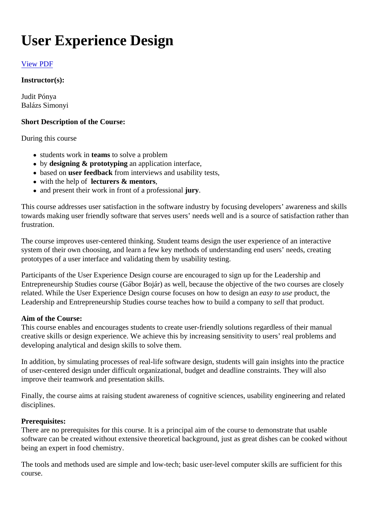# User Experience Design

# [View PDF](https://www.ait-budapest.com/print/view/pdf/syllabus_instructors_views/entity_print_views_print_1?view_args[0]=89)

Instructor(s):

Judit Pónya Balázs Simonyi

Short Description of the Course:

# During this course

- $\bullet$  students work inteams to solve a problem
- by designing & prototyping an application interface,
- based on user feedback from interviews and usability tests,
- with the help of lecturers & mentors,
- and present their work in front of a professionaly.

This course addresses user satisfaction in the software industry by focusing developers' awareness and s towards making user friendly software that serves users' needs well and is a source of satisfaction rather to frustration.

The course improves user-centered thinking. Student teams design the user experience of an interactive system of their own choosing, and learn a few key methods of understanding end users' needs, creating prototypes of a user interface and validating them by usability testing.

Participants of the User Experience Design course are encouraged to sign up for the Leadership and Entrepreneurship Studies course (Gábor Bojár) as well, because the objective of the two courses are closely related. While the User Experience Design course focuses on how to desapy an use roduct, the Leadership and Entrepreneurship Studies course teaches how to build a conspellithy at product.

#### Aim of the Course:

This course enables and encourages students to create user-friendly solutions regardless of their manual creative skills or design experience. We achieve this by increasing sensitivity to users' real problems and developing analytical and design skills to solve them.

In addition, by simulating processes of real-life software design, students will gain insights into the practice of user-centered design under difficult organizational, budget and deadline constraints. They will also improve their teamwork and presentation skills.

Finally, the course aims at raising student awareness of cognitive sciences, usability engineering and related disciplines.

#### Prerequisites:

There are no prerequisites for this course. It is a principal aim of the course to demonstrate that usable software can be created without extensive theoretical background, just as great dishes can be cooked with being an expert in food chemistry.

The tools and methods used are simple and low-tech; basic user-level computer skills are sufficient for this course.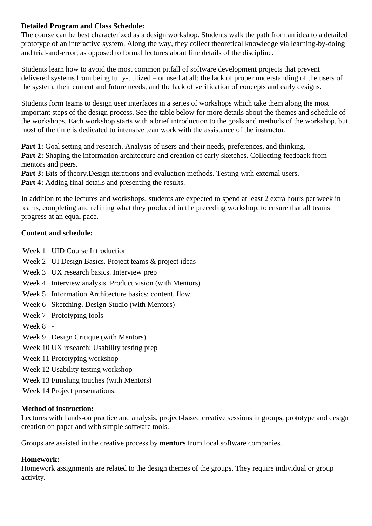# **Detailed Program and Class Schedule:**

The course can be best characterized as a design workshop. Students walk the path from an idea to a detailed prototype of an interactive system. Along the way, they collect theoretical knowledge via learning-by-doing and trial-and-error, as opposed to formal lectures about fine details of the discipline.

Students learn how to avoid the most common pitfall of software development projects that prevent delivered systems from being fully-utilized – or used at all: the lack of proper understanding of the users of the system, their current and future needs, and the lack of verification of concepts and early designs.

Students form teams to design user interfaces in a series of workshops which take them along the most important steps of the design process. See the table below for more details about the themes and schedule of the workshops. Each workshop starts with a brief introduction to the goals and methods of the workshop, but most of the time is dedicated to intensive teamwork with the assistance of the instructor.

Part 1: Goal setting and research. Analysis of users and their needs, preferences, and thinking. **Part 2:** Shaping the information architecture and creation of early sketches. Collecting feedback from mentors and peers.

**Part 3:** Bits of theory. Design iterations and evaluation methods. Testing with external users. **Part 4:** Adding final details and presenting the results.

In addition to the lectures and workshops, students are expected to spend at least 2 extra hours per week in teams, completing and refining what they produced in the preceding workshop, to ensure that all teams progress at an equal pace.

# **Content and schedule:**

- Week 1 UID Course Introduction
- Week 2 UI Design Basics. Project teams & project ideas
- Week 3 UX research basics. Interview prep
- Week 4 Interview analysis. Product vision (with Mentors)
- Week 5 Information Architecture basics: content, flow
- Week 6 Sketching. Design Studio (with Mentors)
- Week 7 Prototyping tools
- Week 8 -
- Week 9 Design Critique (with Mentors)
- Week 10 UX research: Usability testing prep
- Week 11 Prototyping workshop
- Week 12 Usability testing workshop
- Week 13 Finishing touches (with Mentors)
- Week 14 Project presentations.

#### **Method of instruction:**

Lectures with hands-on practice and analysis, project-based creative sessions in groups, prototype and design creation on paper and with simple software tools.

Groups are assisted in the creative process by **mentors** from local software companies.

#### **Homework:**

Homework assignments are related to the design themes of the groups. They require individual or group activity.